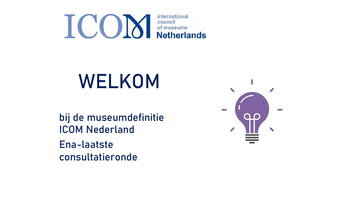

# WELKOM

bij de museumdefinitie ICOM Nederland Ena-laatste consultatieronde

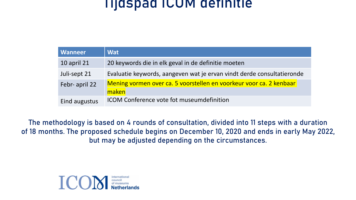#### Tijdspad ICOM definitie

| <b>Wanneer</b>     | <b>Wat</b>                                                                   |
|--------------------|------------------------------------------------------------------------------|
| <b>10 april 21</b> | 20 keywords die in elk geval in de definitie moeten                          |
| Juli-sept 21       | Evaluatie keywords, aangeven wat je ervan vindt derde consultatieronde       |
| Febr- april 22     | Mening vormen over ca. 5 voorstellen en voorkeur voor ca. 2 kenbaar<br>maken |
| Eind augustus      | ICOM Conference vote fot museumdefinition                                    |

The methodology is based on 4 rounds of consultation, divided into 11 steps with a duration of 18 months. The proposed schedule begins on December 10, 2020 and ends in early May 2022, but may be adjusted depending on the circumstances.

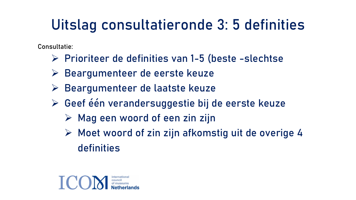## Uitslag consultatieronde 3: 5 definities

Consultatie:

- Ø Prioriteer de definities van 1-5 (beste -slechtse
- Ø Beargumenteer de eerste keuze
- Ø Beargumenteer de laatste keuze
- Ø Geef één verandersuggestie bij de eerste keuze
	- $\triangleright$  Mag een woord of een zin zijn
	- $\triangleright$  Moet woord of zin zijn afkomstig uit de overige 4 definities

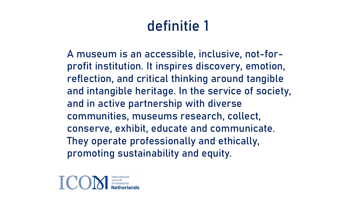A museum is an accessible, inclusive, not-forprofit institution. It inspires discovery, emotion, reflection, and critical thinking around tangible and intangible heritage. In the service of society, and in active partnership with diverse communities, museums research, collect, conserve, exhibit, educate and communicate. They operate professionally and ethically, promoting sustainability and equity.

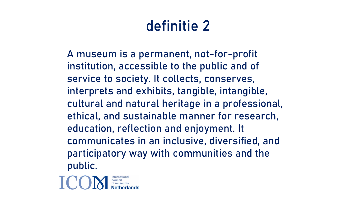A museum is a permanent, not-for-profit institution, accessible to the public and of service to society. It collects, conserves, interprets and exhibits, tangible, intangible, cultural and natural heritage in a professional, ethical, and sustainable manner for research, education, reflection and enjoyment. It communicates in an inclusive, diversified, and participatory way with communities and the public.

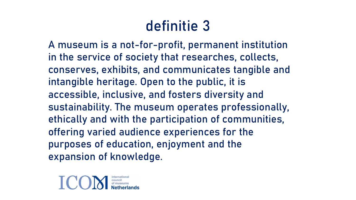A museum is a not-for-profit, permanent institution in the service of society that researches, collects, conserves, exhibits, and communicates tangible and intangible heritage. Open to the public, it is accessible, inclusive, and fosters diversity and sustainability. The museum operates professionally, ethically and with the participation of communities, offering varied audience experiences for the purposes of education, enjoyment and the expansion of knowledge.

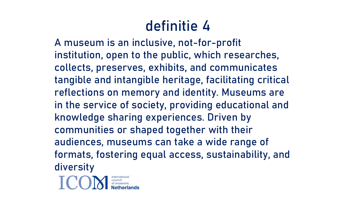A museum is an inclusive, not-for-profit institution, open to the public, which researches, collects, preserves, exhibits, and communicates tangible and intangible heritage, facilitating critical reflections on memory and identity. Museums are in the service of society, providing educational and knowledge sharing experiences. Driven by communities or shaped together with their audiences, museums can take a wide range of formats, fostering equal access, sustainability, and diversity

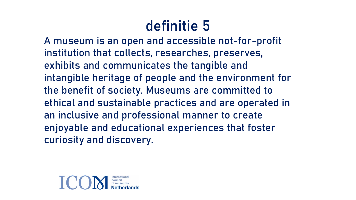A museum is an open and accessible not-for-profit institution that collects, researches, preserves, exhibits and communicates the tangible and intangible heritage of people and the environment for the benefit of society. Museums are committed to ethical and sustainable practices and are operated in an inclusive and professional manner to create enjoyable and educational experiences that foster curiosity and discovery.

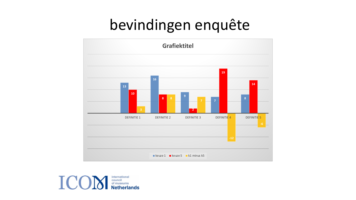## bevindingen enquête



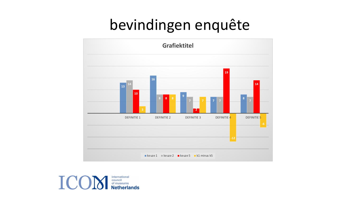# bevindingen enquête



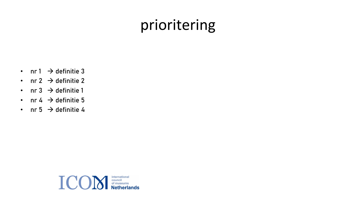## prioritering

- nr  $1 \rightarrow$  definitie 3
- nr 2  $\rightarrow$  definitie 2
- nr 3  $\rightarrow$  definitie 1
- nr 4  $\rightarrow$  definitie 5
- nr 5  $\rightarrow$  definitie 4

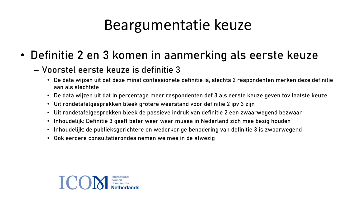#### Beargumentatie keuze

• Definitie 2 en 3 komen in aanmerking als eerste keuze

#### – Voorstel eerste keuze is definitie 3

- De data wijzen uit dat deze minst confessionele definitie is, slechts 2 respondenten merken deze definitie aan als slechtste
- De data wijzen uit dat in percentage meer respondenten def 3 als eerste keuze geven tov laatste keuze
- Uit rondetafelgesprekken bleek grotere weerstand voor definitie 2 ipv 3 zijn
- Uit rondetafelgesprekken bleek de passieve indruk van definitie 2 een zwaarwegend bezwaar
- Inhoudelijk: Definitie 3 geeft beter weer waar musea in Nederland zich mee bezig houden
- Inhoudelijk: de publieksgerichtere en wederkerige benadering van definitie 3 is zwaarwegend
- Ook eerdere consultatierondes nemen we mee in de afwezig

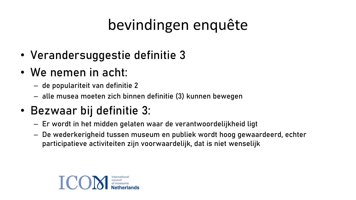# bevindingen enquête

- Verandersuggestie definitie 3
- We nemen in acht:
	- de populariteit van definitie 2
	- alle musea moeten zich binnen definitie (3) kunnen bewegen
- Bezwaar bij definitie 3:
	- Er wordt in het midden gelaten waar de verantwoordelijkheid ligt
	- De wederkerigheid tussen museum en publiek wordt hoog gewaardeerd, echter participatieve activiteiten zijn voorwaardelijk, dat is niet wenselijk

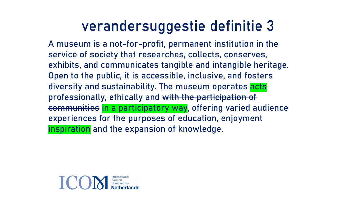#### verandersuggestie definitie 3

A museum is a not-for-profit, permanent institution in the service of society that researches, collects, conserves, exhibits, and communicates tangible and intangible heritage. Open to the public, it is accessible, inclusive, and fosters diversity and sustainability. The museum operates acts professionally, ethically and with the participation of communities in a participatory way, offering varied audience experiences for the purposes of education, enjoyment inspiration and the expansion of knowledge.

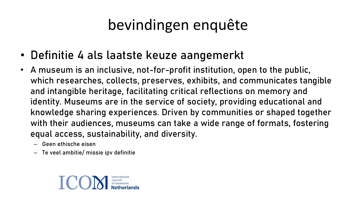# bevindingen enquête

- Definitie 4 als laatste keuze aangemerkt
- A museum is an inclusive, not-for-profit institution, open to the public, which researches, collects, preserves, exhibits, and communicates tangible and intangible heritage, facilitating critical reflections on memory and identity. Museums are in the service of society, providing educational and knowledge sharing experiences. Driven by communities or shaped together with their audiences, museums can take a wide range of formats, fostering equal access, sustainability, and diversity.
	- Geen ethische eisen
	- Te veel ambitie/ missie ipv definitie

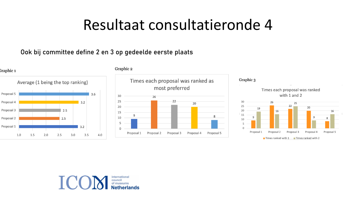#### Resultaat consultatieronde 4

#### Ook bij committee define 2 en 3 op gedeelde eerste plaats



Graphic 2





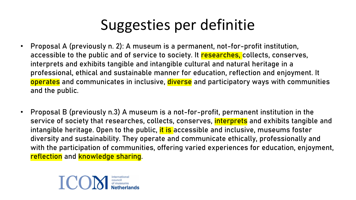## Suggesties per definitie

- Proposal A (previously n. 2): A museum is a permanent, not-for-profit institution, accessible to the public and of service to society. It researches, collects, conserves, interprets and exhibits tangible and intangible cultural and natural heritage in a professional, ethical and sustainable manner for education, reflection and enjoyment. It operates and communicates in inclusive, diverse and participatory ways with communities and the public.
- Proposal B (previously n.3) A museum is a not-for-profit, permanent institution in the service of society that researches, collects, conserves, *interprets* and exhibits tangible and intangible heritage. Open to the public, it is accessible and inclusive, museums foster diversity and sustainability. They operate and communicate ethically, professionally and with the participation of communities, offering varied experiences for education, enjoyment, reflection and knowledge sharing.

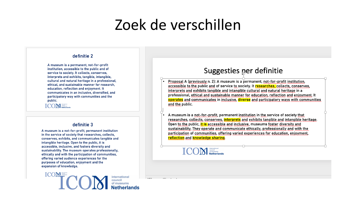#### Zoek de verschillen

#### definitie 2

A museum is a permanent, not-for-profit institution, accessible to the public and of service to society. It collects, conserves, interprets and exhibits, tangible, intangible, cultural and natural heritage in a professional, ethical, and sustainable manner for research, education, reflection and enjoyment. It communicates in an inclusive, diversified, and participatory way with communities and the public.

**ICOM** supposed

#### definitie 3

A museum is a not-for-profit, permanent institution in the service of society that researches, collects, conserves, exhibits, and communicates tangible and intangible heritage. Open to the public, it is accessible, inclusive, and fosters diversity and sustainability. The museum operates professionally, ethically and with the participation of communities, offering varied audience experiences for the purposes of education, enjoyment and the expansion of knowledge.

ICOMinternational council<br>of museums

#### Suggesties per definitie

- Proposal A (previously n. 2): A museum is a permanent, not-for-profit institution, accessible to the public and of service to society. It researches, collects, conserves, interprets and exhibits tangible and intangible cultural and natural heritage in a professional, ethical and sustainable manner for education, reflection and enjoyment. It operates and communicates in inclusive, diverse and participatory ways with communities and the public.
- A museum is a not-for-profit, permanent institution in the service of society that researches, collects, conserves, interprets and exhibits tangible and intangible heritage. Open to the public, it is accessible and inclusive, museums foster diversity and sustainability. They operate and communicate ethically, professionally and with the participation of communities, offering varied experiences for education, enjoyment, reflection and knowledge sharing.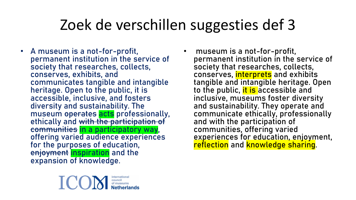## Zoek de verschillen suggesties def 3

- A museum is a not-for-profit, permanent institution in the service of society that researches, collects, conserves, exhibits, and communicates tangible and intangible heritage. Open to the public, it is accessible, inclusive, and fosters diversity and sustainability. The museum operates acts professionally, ethically and with the participation of communities in a participatory way, offering varied audience experiences for the purposes of education, enjoyment inspiration and the expansion of knowledge.
- museum is a not-for-profit, permanent institution in the service of society that researches, collects, conserves, interprets and exhibits tangible and intangible heritage. Open to the public, it is accessible and inclusive, museums foster diversity and sustainability. They operate and communicate ethically, professionally and with the participation of communities, offering varied experiences for education, enjoyment, reflection and knowledge sharing.

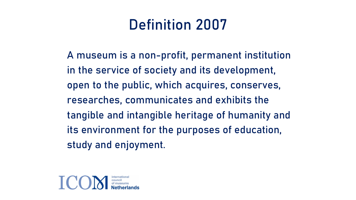### Definition 2007

A museum is a non-profit, permanent institution in the service of society and its development, open to the public, which acquires, conserves, researches, communicates and exhibits the tangible and intangible heritage of humanity and its environment for the purposes of education, study and enjoyment.